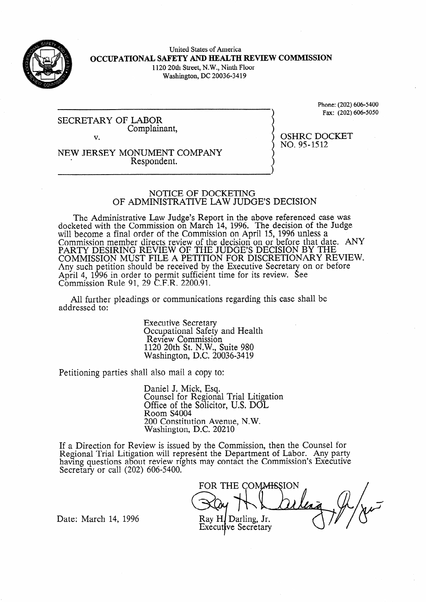

United States of America **OCCUPATIONAL SAFETY AND HEALTH REVIEW COMMISSION**  1120 20th Street, N.W., Ninth Floor Washington, DC 20036-3419

SECRETARY OF LABOR Complainant, V.

Phone: (202) 606-5400 Fax: (202) 606-5050

OSHRC DOCKET

NO. 95-1512

NEW JERSEY MONUMENT COMPANY Respondent.

# NOTICE OF DOCKETING OF ADMINISTRATIVE LAW JUDGE'S DECISION

The Administrative Law Judge's Report in the above referenced case was docketed with the Commission on March 14, 1996. The decision of the Judge will become a final order of the Commission on April 15, 1996 unless a Commission member directs review of the decision on or before that date. ANY PARTY DESIRING REVIEW OF THE JUDGE'S DECISION BY THE COMMISSION MUST FILE A PETITION FOR DISCRETIONARY REVIEW. Any such petition should be received by the Executive Secretary on or before April 4, 1996 in order to permit sufficient time for its review.  $\mathsf{C}$ 3 ee Commission Rule 91, 29 C.F.R. 2200.91.

All further pleadings or communications regarding this case shall be addressed to:

> Executive Secretary Occupational Safety and Health Review Commission 1120 20th St. N.W., Suite 980 Washington, D.C. 20036-3419

Petitioning parties shall also mail a copy to:

Daniel J. Mick, Esq. Counsel for Regional Trial Litigation Office of the Solicitor, U.S. DOL Room S4004 200 Constitution Avenue, N.W. Washington, D.C. 20210

If a Direction for Review is issued by the Commission, then the Counsel for Regional Trial Litigation will represent the Department of Labor. Any party having questions about review rights may contact the Commission's Executive Secretary or call (202) 606-5400.

FOR THE COMMISSION Ray H. Darling, Jr. **Executive Secretary** 

Date: March 14, 1996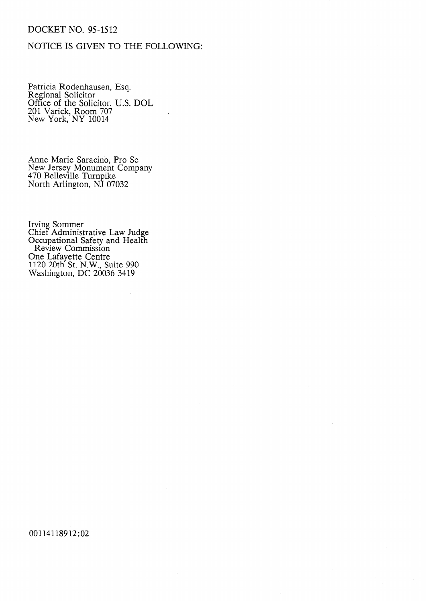## DOCKET NO. 95-1512

## NOTICE IS GIVEN TO THE FOLLOWING:

Patricia Rodenhausen, Esq. Regional Solicitor Office of the Solicitor, U.S. DOL 201 Varick, Room 707 New York, NY 1001

Anne Marie Saracino, Pro Se New Jersey Monument Company 470 Belleville Turnpike North Arlington, NJ 07032

Irving Sommer Chief Administrative Law Judge Occupational Safety and Health Review Commission One Lafayette Centre 1120 20th St. N.W., Suite 990 Washington, DC 20036 3419

00114118912:02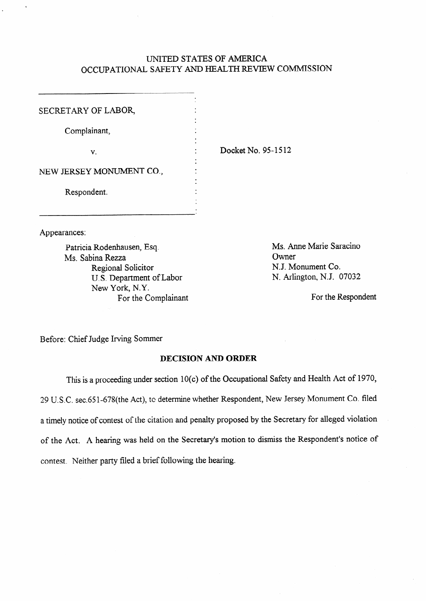### UNITED STATES OF AMERICA OCCUPATIONAL SAFETY AND HEALTH REVIEW COMMISSION

| SECRETARY OF LABOR,      |  |
|--------------------------|--|
| Complainant,             |  |
| V.                       |  |
| NEW JERSEY MONUMENT CO., |  |
| Respondent.              |  |
|                          |  |

Appearances:

Patricia Rodenhausen, Esq. Ms. Sabina Rezza Regional Solicitor U.S. Department of Labor New York, N.Y. For the Complainant

Docket No. 95-1512

Ms. Anne Marie Saracino **Owner** NJ. Monument Co. N. Arlington, N.J. 07032

For the Respondent

Before: Chief Judge Irving Sommer

### **DECISION AND ORDER**

This is a proceeding under section 10(c) of the Occupational Safety and Health Act of 1970, 29 U.S.C. sec.651-678(the Act), to determine whether Respondent, New Jersey Monument Co. filed a timely notice of contest of the citation and penalty proposed by the Secretary for alleged violation of the Act. A hearing was held on the Secretary's motion to dismiss the Respondent's notice of contest. Neither party filed a brief following the hearing.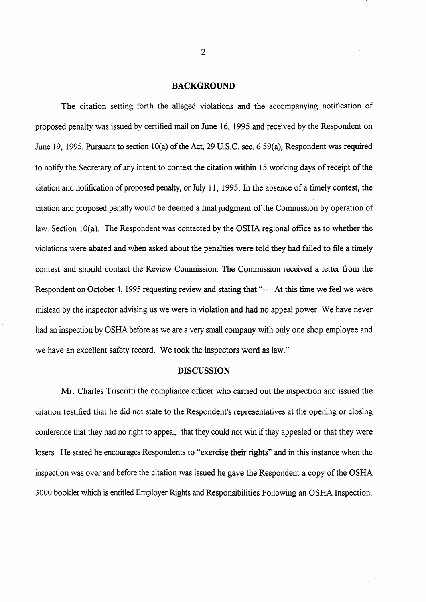#### **BACKGROUND**

The citation setting forth the alleged violations and the accompanying notification of proposed penalty was issued by certified mail on June **16,** 1995 and received by the Respondent on June 19, 1995. Pursuant to section 10(a) of the Act, 29 U.S.C. sec. 6 59(a), Respondent was required to notify the Secretary of any intent to contest the citation within 15 working days of receipt of the citation and notification of proposed penalty, or July 11, 1995. In the absence of a timely contest, the citation and proposed penalty would be deemed a final judgment of the Commission by operation of law. Section 10(a). The Respondent was contacted by the OSHA regional office as to whether the violations were abated and when asked about the penalties were told they had failed to file a timely contest and should contact the Review Commission. The Commission received a letter from the Respondent on October 4, 1995 requesting review and stating that "----At this time we feel we were mislead by the inspector advising us we were in violation and had no appeal power. We have never had an inspection by OSHA before as we are a very small company with only one shop employee and we have an excellent safety record. We took the inspectors word as law."

#### **DISCUSSION**

Mr. Charles Triscritti the compliance officer who carried out the inspection and issued the citation testified that he did not state to the Respondent's representatives at the opening or closing conference that they had no right to appeal, that they could not win if they appealed or that they were losers. He stated he encourages Respondents to "exercise their rights" and in this instance when the inspection was over and before the citation was issued he gave the Respondent a copy of the OSHA 3000 booklet which is entitled Employer Rights and Responsibilities Following an OSHA Inspection.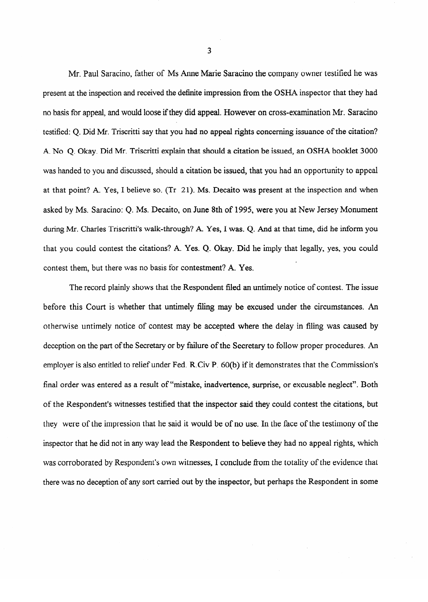Mr. Paul Saracino, father of Ms Anne Marie Saracino the company owner testified he was present at the inspection and received the definite impression from the OSHA inspector that they had no basis for appeal, and would loose ifthey did appeal. However on cross-examination Mr. Saracino testified: Q. Did Mr. Triscritti say that you had no appeal rights concerning issuance of the citation? A. No Q. Okay. Did Mr. Triscritti explain that should a citation be issued, an OSHA booklet 3000 was handed to you and discussed, should a citation be issued, that you had an opportunity to appeal was handed to you and discussed, should a citation be in  $\mathcal{L}$ at that point? A. Yes, I believe so. (Tr 21). Ms. Decaito was present at the inspection and when at that point? A. Yes, I believe so. (Tr **21).** Ms. Decaito was present at the inspection and when asked by Ms. Saracino: Q. Ms. Decaito, on June 8th of 1995, were you at New Jersey Monument during Mr. Charles Triscritti's walk-through? A. Yes, I was. O. And at that time, did he inform you that you could contest the citations? A. Yes. Q. Okay. Did he imply that legally, yes, you could that you could contest the citations? A. Yes.  $\alpha$  ,  $\alpha$  ,  $\beta$  ,  $\beta$  ,  $\beta$  ,  $\beta$  ,  $\beta$  ,  $\beta$  ,  $\beta$  ,  $\beta$  ,  $\beta$  ,  $\beta$  ,  $\beta$  ,  $\beta$  ,  $\beta$  ,  $\beta$  ,  $\beta$  ,  $\beta$  ,  $\beta$  ,  $\beta$  ,  $\beta$  ,  $\beta$  ,  $\beta$  ,  $\beta$  ,  $\beta$  , contest them, but there was no basis for contestment? A. Yes.

before this Court is whether that untimely filing may be excused under the circumstances. An otherwise untimely notice of contest may be accepted where the delay in filing was caused by deception on the part of the Secretary or by failure of the Secretary to follow proper procedures. An employer is also entitled to relief under Fed. R.Civ P. 60(b) if it demonstrates that the Commission's final order was entered as a result of "mistake, inadvertence, surprise, or excusable neglect". Both of the Respondent's witnesses testified that the inspector said they could contest the citations, but they were of the impression that he said it would be of no use. In the face of the testimony of the inspector that he did not in any way lead the Respondent to believe they had no appeal rights, which was corroborated by Respondent's own witnesses, I conclude from the totality of the evidence that there was no deception of any sort carried out by the inspector, but perhaps the Respondent in some

**3**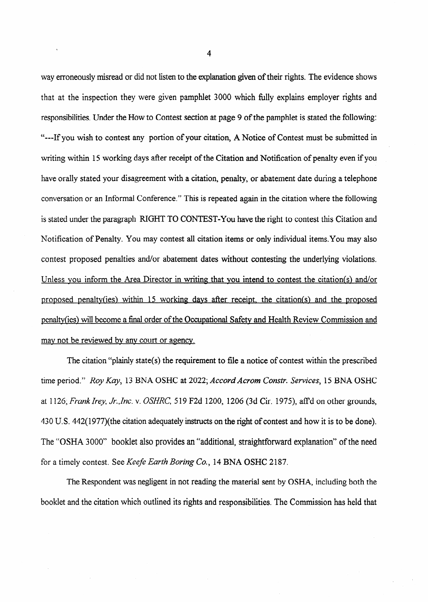way erroneously misread or did not listen to the explanation given of their rights. The evidence shows that at the inspection they were given pamphlet 3000 which fully explains employer rights and responsibilities. Under the How to Contest section at page 9 of the pamphlet is stated the following: "---If you wish to contest any portion of your citation, A Notice of Contest must be submitted in writing within 15 working days after receipt of the Citation and Notification of penalty even if you have orally stated your disagreement with a citation, penalty, or abatement date during a telephone conversation or an Informal Conference." This is repeated again in the citation where the following is stated under the paragraph RIGHT TO CONTEST-You have the right to contest this Citation and Notification of Penalty. You may contest all citation items or only individual items. You may also contest proposed penalties and/or abatement dates without contesting the underlying violations. Unless you inform the Area Director in writing that you intend to contest the citation(s) and/or proposed penalty(ies) within 15 working days after receipt, the citation(s) and the proposed penaltv(ies) will become a final order of the Occupational Safetv and Health Review Commission and may not be reviewed by any court or agency.

The citation "plainly state(s) the requirement to file a notice of contest within the prescribed time period." Roy *Kay,* 13 BNA OSHC at 2022; *Accord Acrom Constr. Services,* 15 BNA OSHC at 1126; *Frank Irey, Jr.,Inc. v. OSHRC*, 519 F2d 1200, 1206 (3d Cir. 1975), affd on other grounds, 430 U.S. 442( 1977)(the citation adequately instructs on the right of contest and how it is to be done). The "OSHA 3000" booklet also provides an "additional, straightforward explanation" of the need for a timely contest. See Keefe *Earth Boring Co.,* **14** BNA OSHC 2187.

The Respondent was negligent in not reading the material sent by OSHA, including both the booklet and the citation which outlined its rights and responsibilities. The Commission has held that

 $\mathbf{r}$